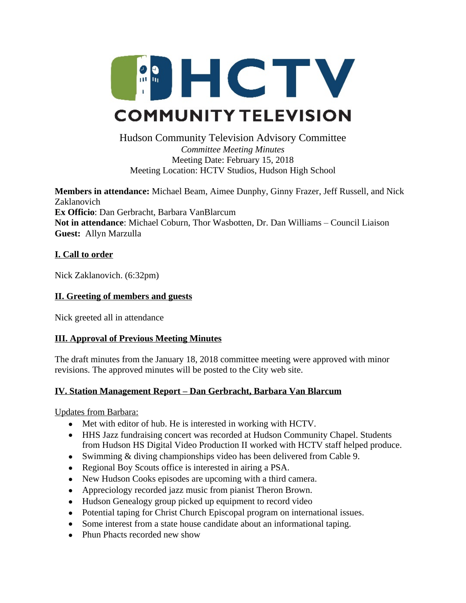

### Hudson Community Television Advisory Committee *Committee Meeting Minutes* Meeting Date: February 15, 2018 Meeting Location: HCTV Studios, Hudson High School

**Members in attendance:** Michael Beam, Aimee Dunphy, Ginny Frazer, Jeff Russell, and Nick Zaklanovich **Ex Officio**: Dan Gerbracht, Barbara VanBlarcum **Not in attendance**: Michael Coburn, Thor Wasbotten, Dr. Dan Williams – Council Liaison **Guest:** Allyn Marzulla

## **I. Call to order**

Nick Zaklanovich. (6:32pm)

## **II. Greeting of members and guests**

Nick greeted all in attendance

# **III. Approval of Previous Meeting Minutes**

The draft minutes from the January 18, 2018 committee meeting were approved with minor revisions. The approved minutes will be posted to the City web site.

# **IV. Station Management Report – Dan Gerbracht, Barbara Van Blarcum**

Updates from Barbara:

- Met with editor of hub. He is interested in working with HCTV.
- HHS Jazz fundraising concert was recorded at Hudson Community Chapel. Students from Hudson HS Digital Video Production II worked with HCTV staff helped produce.
- Swimming & diving championships video has been delivered from Cable 9.
- Regional Boy Scouts office is interested in airing a PSA.
- New Hudson Cooks episodes are upcoming with a third camera.
- Appreciology recorded jazz music from pianist Theron Brown.
- Hudson Genealogy group picked up equipment to record video
- Potential taping for Christ Church Episcopal program on international issues.
- Some interest from a state house candidate about an informational taping.
- Phun Phacts recorded new show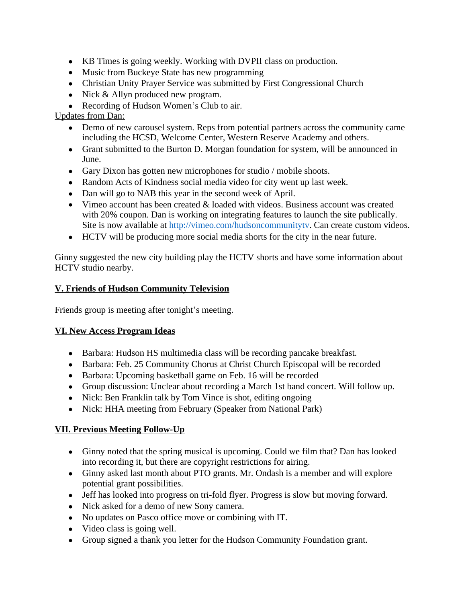- KB Times is going weekly. Working with DVPII class on production.
- Music from Buckeye State has new programming
- Christian Unity Prayer Service was submitted by First Congressional Church
- Nick & Allyn produced new program.
- Recording of Hudson Women's Club to air.

# Updates from Dan:

- Demo of new carousel system. Reps from potential partners across the community came including the HCSD, Welcome Center, Western Reserve Academy and others.
- Grant submitted to the Burton D. Morgan foundation for system, will be announced in June.
- Gary Dixon has gotten new microphones for studio / mobile shoots.
- Random Acts of Kindness social media video for city went up last week.
- Dan will go to NAB this year in the second week of April.
- Vimeo account has been created & loaded with videos. Business account was created with 20% coupon. Dan is working on integrating features to launch the site publically. Site is now available at [http://vimeo.com/hudsoncommunitytv.](http://vimeo.com/hudsoncommunitytv) Can create custom videos.
- HCTV will be producing more social media shorts for the city in the near future.

Ginny suggested the new city building play the HCTV shorts and have some information about HCTV studio nearby.

## **V. Friends of Hudson Community Television**

Friends group is meeting after tonight's meeting.

#### **VI. New Access Program Ideas**

- Barbara: Hudson HS multimedia class will be recording pancake breakfast.
- Barbara: Feb. 25 Community Chorus at Christ Church Episcopal will be recorded
- Barbara: Upcoming basketball game on Feb. 16 will be recorded
- Group discussion: Unclear about recording a March 1st band concert. Will follow up.
- Nick: Ben Franklin talk by Tom Vince is shot, editing ongoing
- Nick: HHA meeting from February (Speaker from National Park)

# **VII. Previous Meeting Follow-Up**

- Ginny noted that the spring musical is upcoming. Could we film that? Dan has looked into recording it, but there are copyright restrictions for airing.
- Ginny asked last month about PTO grants. Mr. Ondash is a member and will explore potential grant possibilities.
- Jeff has looked into progress on tri-fold flyer. Progress is slow but moving forward.
- Nick asked for a demo of new Sony camera.
- No updates on Pasco office move or combining with IT.
- Video class is going well.
- Group signed a thank you letter for the Hudson Community Foundation grant.